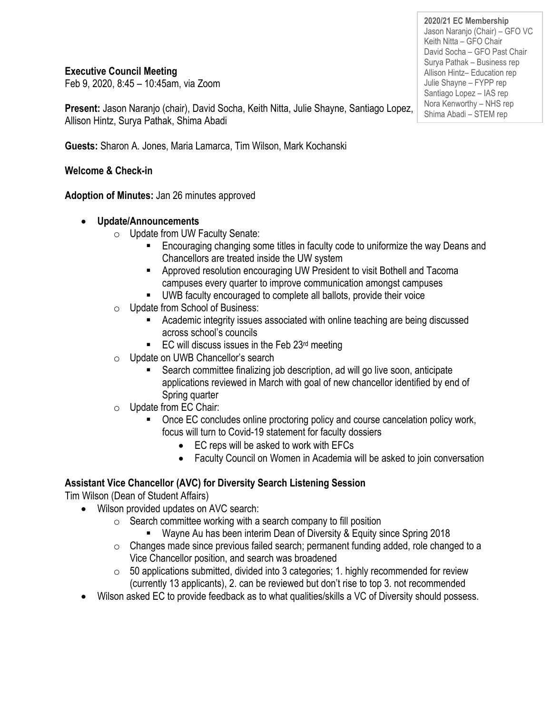### **Executive Council Meeting**

Feb 9, 2020, 8:45 – 10:45am, via Zoom

**Present:** Jason Naranjo (chair), David Socha, Keith Nitta, Julie Shayne, Santiago Lopez, Allison Hintz, Surya Pathak, Shima Abadi

**Guests:** Sharon A. Jones, Maria Lamarca, Tim Wilson, Mark Kochanski

**Welcome & Check-in**

**Adoption of Minutes:** Jan 26 minutes approved

- **Update/Announcements**
	- o Update from UW Faculty Senate:
		- Encouraging changing some titles in faculty code to uniformize the way Deans and Chancellors are treated inside the UW system
		- Approved resolution encouraging UW President to visit Bothell and Tacoma campuses every quarter to improve communication amongst campuses
		- UWB faculty encouraged to complete all ballots, provide their voice
	- o Update from School of Business:
		- Academic integrity issues associated with online teaching are being discussed across school's councils
		- $\blacksquare$  EC will discuss issues in the Feb 23<sup>rd</sup> meeting
	- o Update on UWB Chancellor's search
		- Search committee finalizing job description, ad will go live soon, anticipate applications reviewed in March with goal of new chancellor identified by end of Spring quarter
	- o Update from EC Chair:
		- Once EC concludes online proctoring policy and course cancelation policy work, focus will turn to Covid-19 statement for faculty dossiers
			- EC reps will be asked to work with EFCs
			- Faculty Council on Women in Academia will be asked to join conversation

## **Assistant Vice Chancellor (AVC) for Diversity Search Listening Session**

Tim Wilson (Dean of Student Affairs)

- Wilson provided updates on AVC search:
	- $\circ$  Search committee working with a search company to fill position
		- Wayne Au has been interim Dean of Diversity & Equity since Spring 2018
	- o Changes made since previous failed search; permanent funding added, role changed to a Vice Chancellor position, and search was broadened
	- $\circ$  50 applications submitted, divided into 3 categories; 1. highly recommended for review (currently 13 applicants), 2. can be reviewed but don't rise to top 3. not recommended
- Wilson asked EC to provide feedback as to what qualities/skills a VC of Diversity should possess.

**2020/21 EC Membership** Jason Naranjo (Chair) – GFO VC Keith Nitta – GFO Chair David Socha – GFO Past Chair Surya Pathak – Business rep Allison Hintz– Education rep Julie Shayne – FYPP rep Santiago Lopez – IAS rep Nora Kenworthy – NHS rep Shima Abadi – STEM rep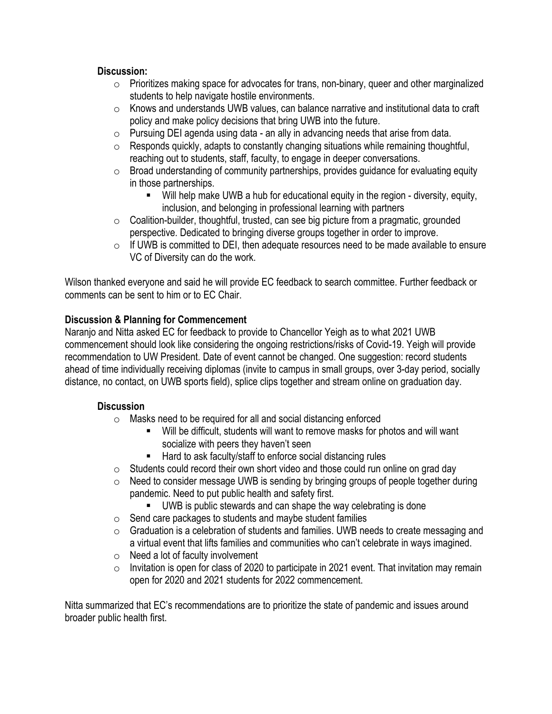#### **Discussion:**

- $\circ$  Prioritizes making space for advocates for trans, non-binary, queer and other marginalized students to help navigate hostile environments.
- o Knows and understands UWB values, can balance narrative and institutional data to craft policy and make policy decisions that bring UWB into the future.
- o Pursuing DEI agenda using data an ally in advancing needs that arise from data.
- $\circ$  Responds quickly, adapts to constantly changing situations while remaining thoughtful, reaching out to students, staff, faculty, to engage in deeper conversations.
- $\circ$  Broad understanding of community partnerships, provides guidance for evaluating equity in those partnerships.
	- Will help make UWB a hub for educational equity in the region diversity, equity, inclusion, and belonging in professional learning with partners
- $\circ$  Coalition-builder, thoughtful, trusted, can see big picture from a pragmatic, grounded perspective. Dedicated to bringing diverse groups together in order to improve.
- $\circ$  If UWB is committed to DEI, then adequate resources need to be made available to ensure VC of Diversity can do the work.

Wilson thanked everyone and said he will provide EC feedback to search committee. Further feedback or comments can be sent to him or to EC Chair.

#### **Discussion & Planning for Commencement**

Naranjo and Nitta asked EC for feedback to provide to Chancellor Yeigh as to what 2021 UWB commencement should look like considering the ongoing restrictions/risks of Covid-19. Yeigh will provide recommendation to UW President. Date of event cannot be changed. One suggestion: record students ahead of time individually receiving diplomas (invite to campus in small groups, over 3-day period, socially distance, no contact, on UWB sports field), splice clips together and stream online on graduation day.

#### **Discussion**

- o Masks need to be required for all and social distancing enforced
	- Will be difficult, students will want to remove masks for photos and will want socialize with peers they haven't seen
	- Hard to ask faculty/staff to enforce social distancing rules
- $\circ$  Students could record their own short video and those could run online on grad day
- $\circ$  Need to consider message UWB is sending by bringing groups of people together during pandemic. Need to put public health and safety first.
	- UWB is public stewards and can shape the way celebrating is done
- $\circ$  Send care packages to students and maybe student families
- o Graduation is a celebration of students and families. UWB needs to create messaging and a virtual event that lifts families and communities who can't celebrate in ways imagined.
- o Need a lot of faculty involvement
- $\circ$  Invitation is open for class of 2020 to participate in 2021 event. That invitation may remain open for 2020 and 2021 students for 2022 commencement.

Nitta summarized that EC's recommendations are to prioritize the state of pandemic and issues around broader public health first.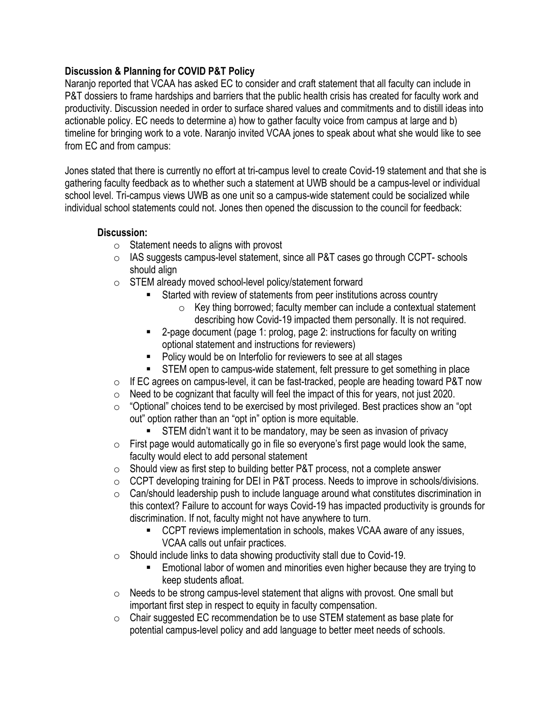#### **Discussion & Planning for COVID P&T Policy**

Naranjo reported that VCAA has asked EC to consider and craft statement that all faculty can include in P&T dossiers to frame hardships and barriers that the public health crisis has created for faculty work and productivity. Discussion needed in order to surface shared values and commitments and to distill ideas into actionable policy. EC needs to determine a) how to gather faculty voice from campus at large and b) timeline for bringing work to a vote. Naranjo invited VCAA jones to speak about what she would like to see from EC and from campus:

Jones stated that there is currently no effort at tri-campus level to create Covid-19 statement and that she is gathering faculty feedback as to whether such a statement at UWB should be a campus-level or individual school level. Tri-campus views UWB as one unit so a campus-wide statement could be socialized while individual school statements could not. Jones then opened the discussion to the council for feedback:

#### **Discussion:**

- $\circ$  Statement needs to aligns with provost
- o IAS suggests campus-level statement, since all P&T cases go through CCPT- schools should align
- o STEM already moved school-level policy/statement forward
	- Started with review of statements from peer institutions across country
		- $\circ$  Key thing borrowed; faculty member can include a contextual statement describing how Covid-19 impacted them personally. It is not required.
	- 2-page document (page 1: prolog, page 2: instructions for faculty on writing optional statement and instructions for reviewers)
	- Policy would be on Interfolio for reviewers to see at all stages
	- STEM open to campus-wide statement, felt pressure to get something in place
- o If EC agrees on campus-level, it can be fast-tracked, people are heading toward P&T now
- o Need to be cognizant that faculty will feel the impact of this for years, not just 2020.
- o "Optional" choices tend to be exercised by most privileged. Best practices show an "opt out" option rather than an "opt in" option is more equitable.
	- STEM didn't want it to be mandatory, may be seen as invasion of privacy
- $\circ$  First page would automatically go in file so everyone's first page would look the same, faculty would elect to add personal statement
- $\circ$  Should view as first step to building better P&T process, not a complete answer
- o CCPT developing training for DEI in P&T process. Needs to improve in schools/divisions.
- o Can/should leadership push to include language around what constitutes discrimination in this context? Failure to account for ways Covid-19 has impacted productivity is grounds for discrimination. If not, faculty might not have anywhere to turn.
	- CCPT reviews implementation in schools, makes VCAA aware of any issues, VCAA calls out unfair practices.
- $\circ$  Should include links to data showing productivity stall due to Covid-19.
	- Emotional labor of women and minorities even higher because they are trying to keep students afloat.
- $\circ$  Needs to be strong campus-level statement that aligns with provost. One small but important first step in respect to equity in faculty compensation.
- o Chair suggested EC recommendation be to use STEM statement as base plate for potential campus-level policy and add language to better meet needs of schools.